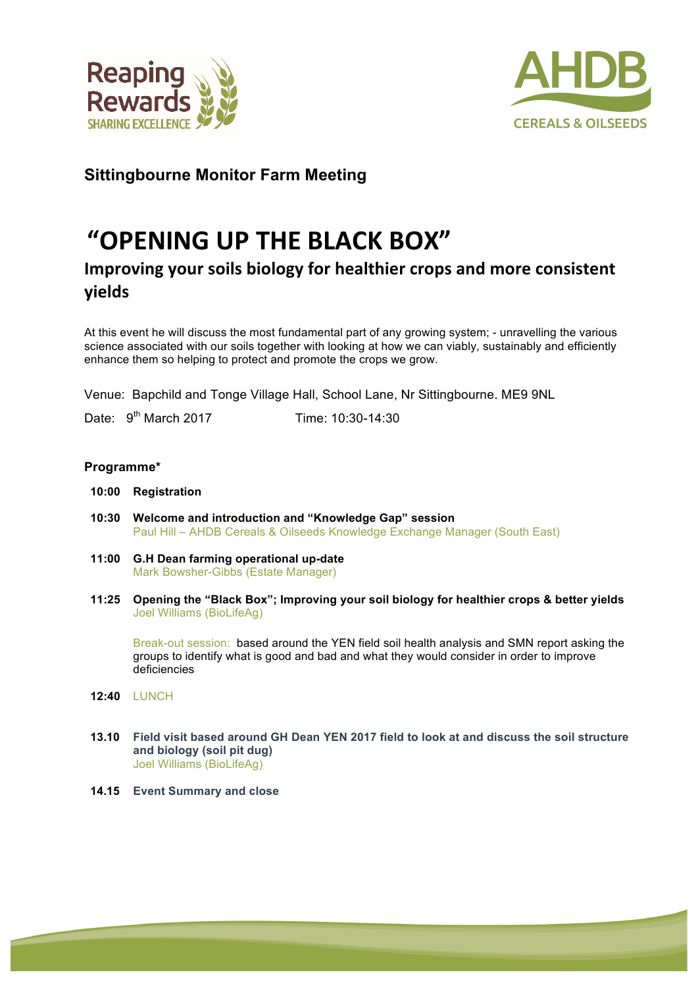



## **Sittingbourne Monitor Farm Meeting**

## **"OPENING UP THE BLACK BOX"**

## **Improving your soils biology for healthier crops and more consistent yields**

At this event he will discuss the most fundamental part of any growing system; - unravelling the various science associated with our soils together with looking at how we can viably, sustainably and efficiently enhance them so helping to protect and promote the crops we grow.

Venue: Bapchild and Tonge Village Hall, School Lane, Nr Sittingbourne. ME9 9NL

Date: 9<sup>th</sup> March 2017 **Time:** 10:30-14:30

## **Programme\***

- **10:00 Registration**
- **10:30 Welcome and introduction and "Knowledge Gap" session** Paul Hill – AHDB Cereals & Oilseeds Knowledge Exchange Manager (South East)
- **11:00 G.H Dean farming operational up-date** Mark Bowsher-Gibbs (Estate Manager)
- **11:25 Opening the "Black Box"; Improving your soil biology for healthier crops & better yields** Joel Williams (BioLifeAg)

Break-out session: based around the YEN field soil health analysis and SMN report asking the groups to identify what is good and bad and what they would consider in order to improve deficiencies

- **12:40** LUNCH
- **13.10 Field visit based around GH Dean YEN 2017 field to look at and discuss the soil structure and biology (soil pit dug)** Joel Williams (BioLifeAg)
- **14.15 Event Summary and close**